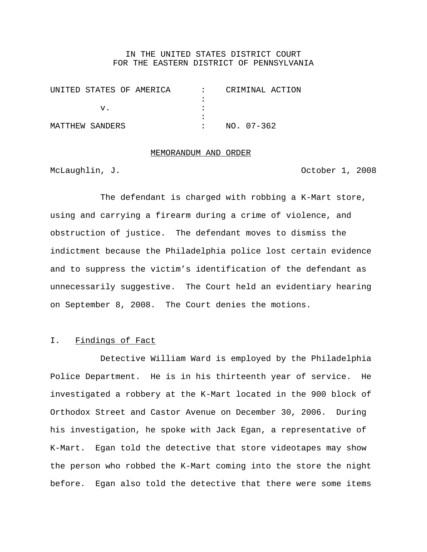## IN THE UNITED STATES DISTRICT COURT FOR THE EASTERN DISTRICT OF PENNSYLVANIA

| UNITED STATES OF AMERICA | CRIMINAL ACTION |
|--------------------------|-----------------|
|                          |                 |
|                          |                 |
|                          |                 |
| MATTHEW SANDERS          | $NO. 07-362$    |

# MEMORANDUM AND ORDER

McLaughlin, J. October 1, 2008

The defendant is charged with robbing a K-Mart store, using and carrying a firearm during a crime of violence, and obstruction of justice. The defendant moves to dismiss the indictment because the Philadelphia police lost certain evidence and to suppress the victim's identification of the defendant as unnecessarily suggestive. The Court held an evidentiary hearing on September 8, 2008. The Court denies the motions.

## I. Findings of Fact

Detective William Ward is employed by the Philadelphia Police Department. He is in his thirteenth year of service. He investigated a robbery at the K-Mart located in the 900 block of Orthodox Street and Castor Avenue on December 30, 2006. During his investigation, he spoke with Jack Egan, a representative of K-Mart. Egan told the detective that store videotapes may show the person who robbed the K-Mart coming into the store the night before. Egan also told the detective that there were some items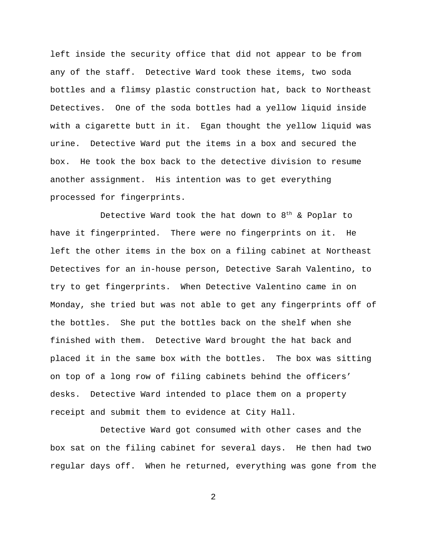left inside the security office that did not appear to be from any of the staff. Detective Ward took these items, two soda bottles and a flimsy plastic construction hat, back to Northeast Detectives. One of the soda bottles had a yellow liquid inside with a cigarette butt in it. Egan thought the yellow liquid was urine. Detective Ward put the items in a box and secured the box. He took the box back to the detective division to resume another assignment. His intention was to get everything processed for fingerprints.

Detective Ward took the hat down to  $8<sup>th</sup>$  & Poplar to have it fingerprinted. There were no fingerprints on it. He left the other items in the box on a filing cabinet at Northeast Detectives for an in-house person, Detective Sarah Valentino, to try to get fingerprints. When Detective Valentino came in on Monday, she tried but was not able to get any fingerprints off of the bottles. She put the bottles back on the shelf when she finished with them. Detective Ward brought the hat back and placed it in the same box with the bottles. The box was sitting on top of a long row of filing cabinets behind the officers' desks. Detective Ward intended to place them on a property receipt and submit them to evidence at City Hall.

Detective Ward got consumed with other cases and the box sat on the filing cabinet for several days. He then had two regular days off. When he returned, everything was gone from the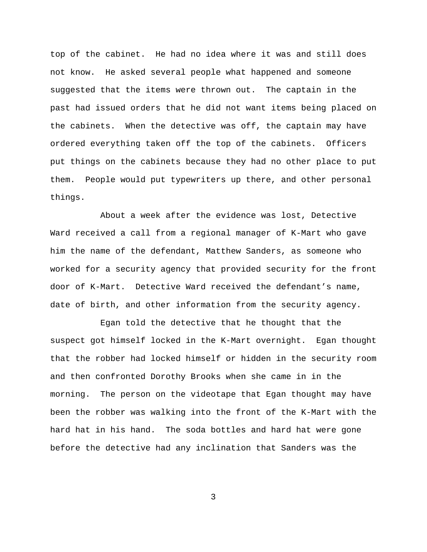top of the cabinet. He had no idea where it was and still does not know. He asked several people what happened and someone suggested that the items were thrown out. The captain in the past had issued orders that he did not want items being placed on the cabinets. When the detective was off, the captain may have ordered everything taken off the top of the cabinets. Officers put things on the cabinets because they had no other place to put them. People would put typewriters up there, and other personal things.

About a week after the evidence was lost, Detective Ward received a call from a regional manager of K-Mart who gave him the name of the defendant, Matthew Sanders, as someone who worked for a security agency that provided security for the front door of K-Mart. Detective Ward received the defendant's name, date of birth, and other information from the security agency.

Egan told the detective that he thought that the suspect got himself locked in the K-Mart overnight. Egan thought that the robber had locked himself or hidden in the security room and then confronted Dorothy Brooks when she came in in the morning. The person on the videotape that Egan thought may have been the robber was walking into the front of the K-Mart with the hard hat in his hand. The soda bottles and hard hat were gone before the detective had any inclination that Sanders was the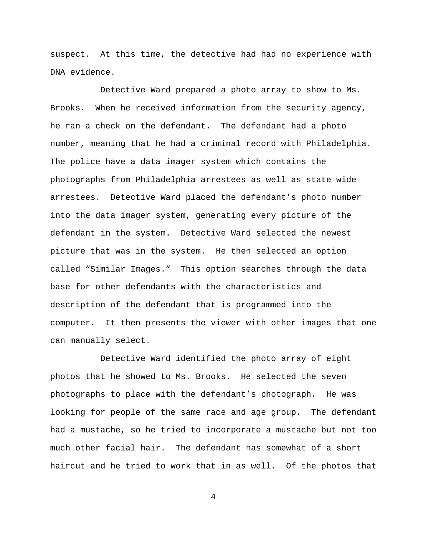suspect. At this time, the detective had had no experience with DNA evidence.

Detective Ward prepared a photo array to show to Ms. Brooks. When he received information from the security agency, he ran a check on the defendant. The defendant had a photo number, meaning that he had a criminal record with Philadelphia. The police have a data imager system which contains the photographs from Philadelphia arrestees as well as state wide arrestees. Detective Ward placed the defendant's photo number into the data imager system, generating every picture of the defendant in the system. Detective Ward selected the newest picture that was in the system. He then selected an option called "Similar Images." This option searches through the data base for other defendants with the characteristics and description of the defendant that is programmed into the computer. It then presents the viewer with other images that one can manually select.

Detective Ward identified the photo array of eight photos that he showed to Ms. Brooks. He selected the seven photographs to place with the defendant's photograph. He was looking for people of the same race and age group. The defendant had a mustache, so he tried to incorporate a mustache but not too much other facial hair. The defendant has somewhat of a short haircut and he tried to work that in as well. Of the photos that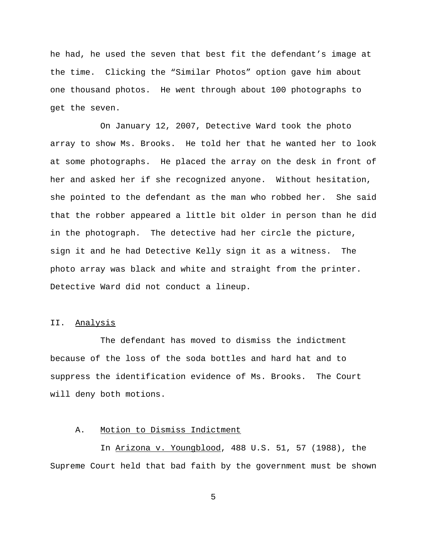he had, he used the seven that best fit the defendant's image at the time. Clicking the "Similar Photos" option gave him about one thousand photos. He went through about 100 photographs to get the seven.

On January 12, 2007, Detective Ward took the photo array to show Ms. Brooks. He told her that he wanted her to look at some photographs. He placed the array on the desk in front of her and asked her if she recognized anyone. Without hesitation, she pointed to the defendant as the man who robbed her. She said that the robber appeared a little bit older in person than he did in the photograph. The detective had her circle the picture, sign it and he had Detective Kelly sign it as a witness. The photo array was black and white and straight from the printer. Detective Ward did not conduct a lineup.

## II. Analysis

The defendant has moved to dismiss the indictment because of the loss of the soda bottles and hard hat and to suppress the identification evidence of Ms. Brooks. The Court will deny both motions.

#### A. Motion to Dismiss Indictment

In Arizona v. Youngblood, 488 U.S. 51, 57 (1988), the Supreme Court held that bad faith by the government must be shown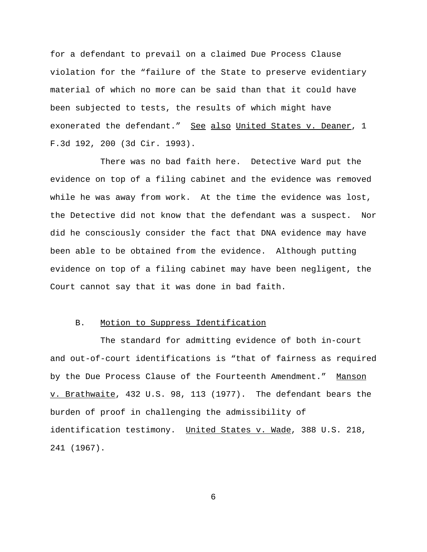for a defendant to prevail on a claimed Due Process Clause violation for the "failure of the State to preserve evidentiary material of which no more can be said than that it could have been subjected to tests, the results of which might have exonerated the defendant." See also United States v. Deaner, 1 F.3d 192, 200 (3d Cir. 1993).

There was no bad faith here. Detective Ward put the evidence on top of a filing cabinet and the evidence was removed while he was away from work. At the time the evidence was lost, the Detective did not know that the defendant was a suspect. Nor did he consciously consider the fact that DNA evidence may have been able to be obtained from the evidence. Although putting evidence on top of a filing cabinet may have been negligent, the Court cannot say that it was done in bad faith.

## B. Motion to Suppress Identification

The standard for admitting evidence of both in-court and out-of-court identifications is "that of fairness as required by the Due Process Clause of the Fourteenth Amendment." Manson v. Brathwaite, 432 U.S. 98, 113 (1977). The defendant bears the burden of proof in challenging the admissibility of identification testimony. United States v. Wade, 388 U.S. 218, 241 (1967).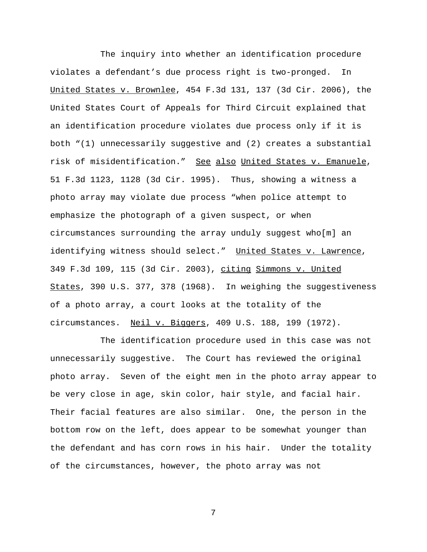The inquiry into whether an identification procedure violates a defendant's due process right is two-pronged. In United States v. Brownlee, 454 F.3d 131, 137 (3d Cir. 2006), the United States Court of Appeals for Third Circuit explained that an identification procedure violates due process only if it is both "(1) unnecessarily suggestive and (2) creates a substantial risk of misidentification." See also United States v. Emanuele, 51 F.3d 1123, 1128 (3d Cir. 1995). Thus, showing a witness a photo array may violate due process "when police attempt to emphasize the photograph of a given suspect, or when circumstances surrounding the array unduly suggest who[m] an identifying witness should select." United States v. Lawrence, 349 F.3d 109, 115 (3d Cir. 2003), citing Simmons v. United States, 390 U.S. 377, 378 (1968). In weighing the suggestiveness of a photo array, a court looks at the totality of the circumstances. Neil v. Biggers, 409 U.S. 188, 199 (1972).

The identification procedure used in this case was not unnecessarily suggestive. The Court has reviewed the original photo array. Seven of the eight men in the photo array appear to be very close in age, skin color, hair style, and facial hair. Their facial features are also similar. One, the person in the bottom row on the left, does appear to be somewhat younger than the defendant and has corn rows in his hair. Under the totality of the circumstances, however, the photo array was not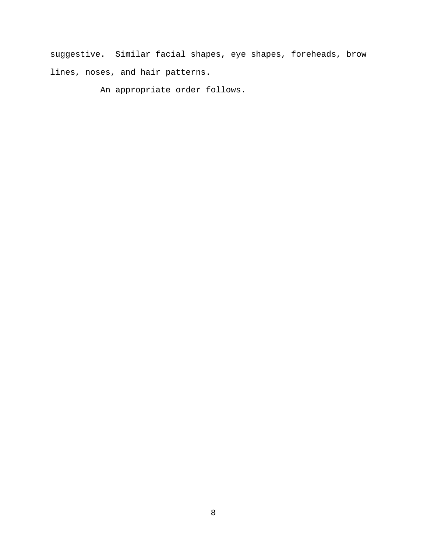suggestive. Similar facial shapes, eye shapes, foreheads, brow lines, noses, and hair patterns.

An appropriate order follows.